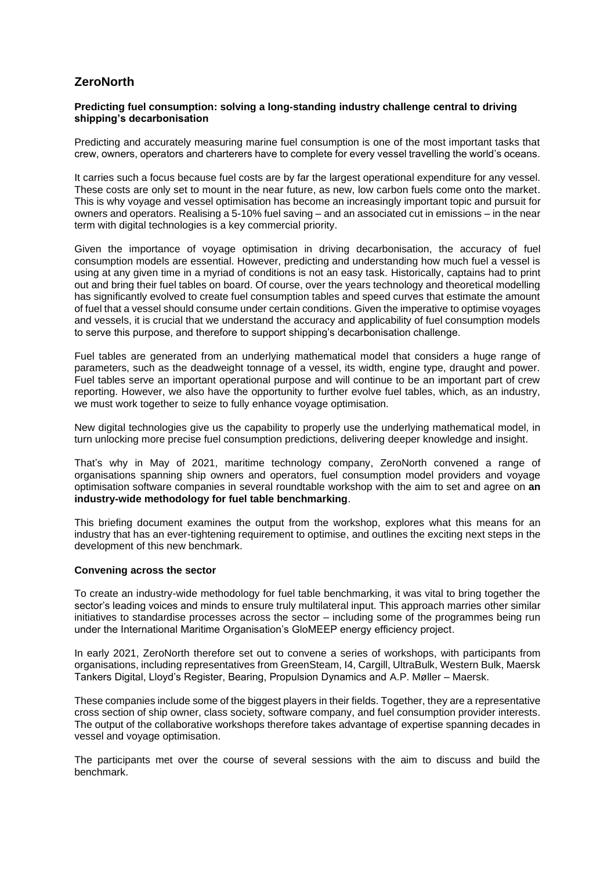# **ZeroNorth**

## **Predicting fuel consumption: solving a long-standing industry challenge central to driving shipping's decarbonisation**

Predicting and accurately measuring marine fuel consumption is one of the most important tasks that crew, owners, operators and charterers have to complete for every vessel travelling the world's oceans.

It carries such a focus because fuel costs are by far the largest operational expenditure for any vessel. These costs are only set to mount in the near future, as new, low carbon fuels come onto the market. This is why voyage and vessel optimisation has become an increasingly important topic and pursuit for owners and operators. Realising a 5-10% fuel saving – and an associated cut in emissions – in the near term with digital technologies is a key commercial priority.

Given the importance of voyage optimisation in driving decarbonisation, the accuracy of fuel consumption models are essential. However, predicting and understanding how much fuel a vessel is using at any given time in a myriad of conditions is not an easy task. Historically, captains had to print out and bring their fuel tables on board. Of course, over the years technology and theoretical modelling has significantly evolved to create fuel consumption tables and speed curves that estimate the amount of fuel that a vessel should consume under certain conditions. Given the imperative to optimise voyages and vessels, it is crucial that we understand the accuracy and applicability of fuel consumption models to serve this purpose, and therefore to support shipping's decarbonisation challenge.

Fuel tables are generated from an underlying mathematical model that considers a huge range of parameters, such as the deadweight tonnage of a vessel, its width, engine type, draught and power. Fuel tables serve an important operational purpose and will continue to be an important part of crew reporting. However, we also have the opportunity to further evolve fuel tables, which, as an industry, we must work together to seize to fully enhance voyage optimisation.

New digital technologies give us the capability to properly use the underlying mathematical model, in turn unlocking more precise fuel consumption predictions, delivering deeper knowledge and insight.

That's why in May of 2021, maritime technology company, ZeroNorth convened a range of organisations spanning ship owners and operators, fuel consumption model providers and voyage optimisation software companies in several roundtable workshop with the aim to set and agree on **an industry-wide methodology for fuel table benchmarking**.

This briefing document examines the output from the workshop, explores what this means for an industry that has an ever-tightening requirement to optimise, and outlines the exciting next steps in the development of this new benchmark.

### **Convening across the sector**

To create an industry-wide methodology for fuel table benchmarking, it was vital to bring together the sector's leading voices and minds to ensure truly multilateral input. This approach marries other similar initiatives to standardise processes across the sector – including some of the programmes being run under the International Maritime Organisation's GloMEEP energy efficiency project.

In early 2021, ZeroNorth therefore set out to convene a series of workshops, with participants from organisations, including representatives from GreenSteam, I4, Cargill, UltraBulk, Western Bulk, Maersk Tankers Digital, Lloyd's Register, Bearing, Propulsion Dynamics and A.P. Møller – Maersk.

These companies include some of the biggest players in their fields. Together, they are a representative cross section of ship owner, class society, software company, and fuel consumption provider interests. The output of the collaborative workshops therefore takes advantage of expertise spanning decades in vessel and voyage optimisation.

The participants met over the course of several sessions with the aim to discuss and build the benchmark.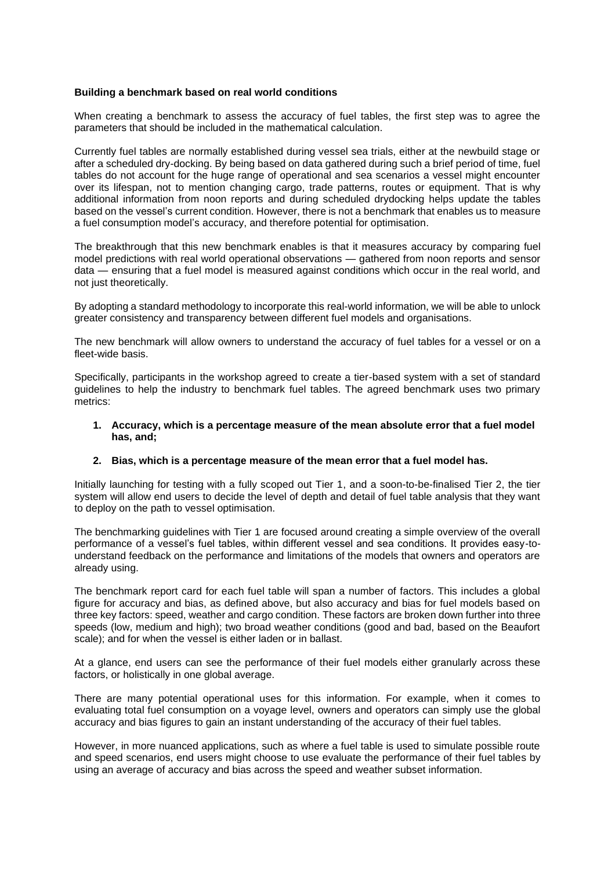### **Building a benchmark based on real world conditions**

When creating a benchmark to assess the accuracy of fuel tables, the first step was to agree the parameters that should be included in the mathematical calculation.

Currently fuel tables are normally established during vessel sea trials, either at the newbuild stage or after a scheduled dry-docking. By being based on data gathered during such a brief period of time, fuel tables do not account for the huge range of operational and sea scenarios a vessel might encounter over its lifespan, not to mention changing cargo, trade patterns, routes or equipment. That is why additional information from noon reports and during scheduled drydocking helps update the tables based on the vessel's current condition. However, there is not a benchmark that enables us to measure a fuel consumption model's accuracy, and therefore potential for optimisation.

The breakthrough that this new benchmark enables is that it measures accuracy by comparing fuel model predictions with real world operational observations — gathered from noon reports and sensor data — ensuring that a fuel model is measured against conditions which occur in the real world, and not just theoretically.

By adopting a standard methodology to incorporate this real-world information, we will be able to unlock greater consistency and transparency between different fuel models and organisations.

The new benchmark will allow owners to understand the accuracy of fuel tables for a vessel or on a fleet-wide basis.

Specifically, participants in the workshop agreed to create a tier-based system with a set of standard guidelines to help the industry to benchmark fuel tables. The agreed benchmark uses two primary metrics:

### **1. Accuracy, which is a percentage measure of the mean absolute error that a fuel model has, and;**

### **2. Bias, which is a percentage measure of the mean error that a fuel model has.**

Initially launching for testing with a fully scoped out Tier 1, and a soon-to-be-finalised Tier 2, the tier system will allow end users to decide the level of depth and detail of fuel table analysis that they want to deploy on the path to vessel optimisation.

The benchmarking guidelines with Tier 1 are focused around creating a simple overview of the overall performance of a vessel's fuel tables, within different vessel and sea conditions. It provides easy-tounderstand feedback on the performance and limitations of the models that owners and operators are already using.

The benchmark report card for each fuel table will span a number of factors. This includes a global figure for accuracy and bias, as defined above, but also accuracy and bias for fuel models based on three key factors: speed, weather and cargo condition. These factors are broken down further into three speeds (low, medium and high); two broad weather conditions (good and bad, based on the Beaufort scale); and for when the vessel is either laden or in ballast.

At a glance, end users can see the performance of their fuel models either granularly across these factors, or holistically in one global average.

There are many potential operational uses for this information. For example, when it comes to evaluating total fuel consumption on a voyage level, owners and operators can simply use the global accuracy and bias figures to gain an instant understanding of the accuracy of their fuel tables.

However, in more nuanced applications, such as where a fuel table is used to simulate possible route and speed scenarios, end users might choose to use evaluate the performance of their fuel tables by using an average of accuracy and bias across the speed and weather subset information.